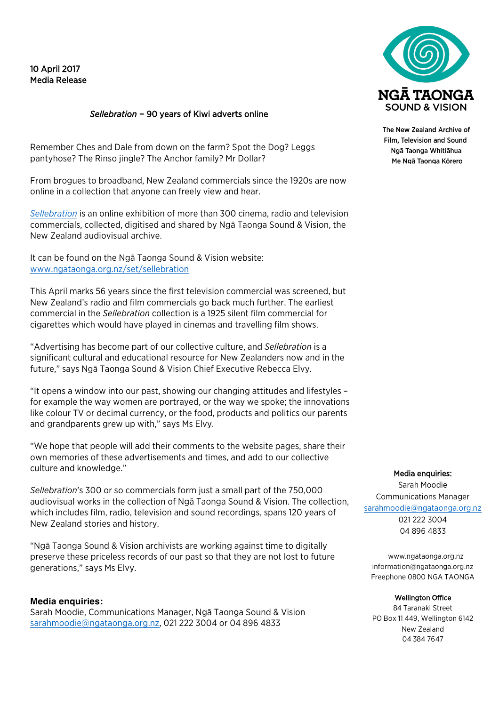# 10 April 2017 Media Release

## *Sellebration* – 90 years of Kiwi adverts online

Remember Ches and Dale from down on the farm? Spot the Dog? Leggs pantyhose? The Rinso jingle? The Anchor family? Mr Dollar?

From brogues to broadband, New Zealand commercials since the 1920s are now online in a collection that anyone can freely view and hear.

*Sellebration* is an online exhibition of more than 300 cinema, radio and television commercials, collected, digitised and shared by Ngā Taonga Sound & Vision, the New Zealand audiovisual archive.

It can be found on the Ngā Taonga Sound & Vision website: www.ngataonga.org.nz/set/sellebration

This April marks 56 years since the first television commercial was screened, but New Zealand's radio and film commercials go back much further. The earliest commercial in the *Sellebration* collection is a 1925 silent film commercial for cigarettes which would have played in cinemas and travelling film shows.

"Advertising has become part of our collective culture, and *Sellebration* is a significant cultural and educational resource for New Zealanders now and in the future," says Ngā Taonga Sound & Vision Chief Executive Rebecca Elvy.

"It opens a window into our past, showing our changing attitudes and lifestyles – for example the way women are portrayed, or the way we spoke; the innovations like colour TV or decimal currency, or the food, products and politics our parents and grandparents grew up with," says Ms Elvy.

"We hope that people will add their comments to the website pages, share their own memories of these advertisements and times, and add to our collective culture and knowledge."

*Sellebration*'s 300 or so commercials form just a small part of the 750,000 audiovisual works in the collection of Ngā Taonga Sound & Vision. The collection, which includes film, radio, television and sound recordings, spans 120 years of New Zealand stories and history.

"Ngā Taonga Sound & Vision archivists are working against time to digitally preserve these priceless records of our past so that they are not lost to future generations," says Ms Elvy.

### **Media enquiries:**

Sarah Moodie, Communications Manager, Ngā Taonga Sound & Vision sarahmoodie@ngataonga.org.nz, 021 222 3004 or 04 896 4833



The New Zealand Archive of Film Television and Sound Ngā Taonga Whitiāhua Me Ngā Taonga Kōrero

Media enquiries: Sarah Moodie Communications Manager sarahmoodie@ngataonga.org.nz 021 222 3004

04 896 4833

www.ngataonga.org.nz information@ngataonga.org.nz Freephone 0800 NGA TAONGA

#### Wellington Office

84 Taranaki Street PO Box 11 449, Wellington 6142 New Zealand 04 384 7647